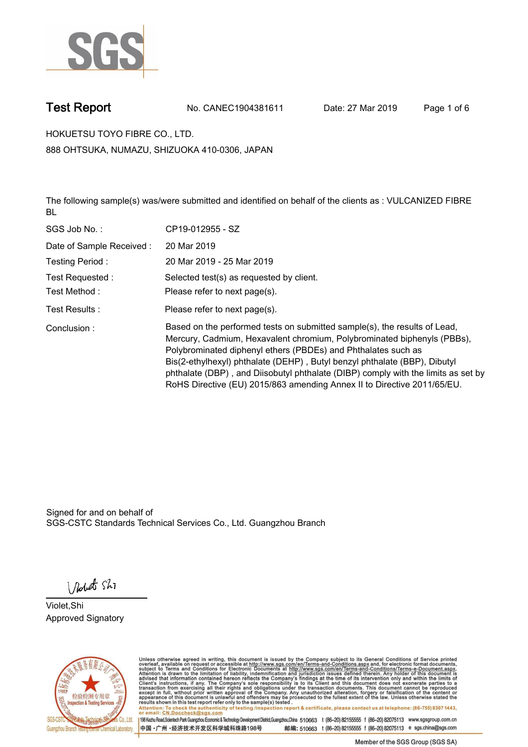

**Test Report. No. CANEC1904381611 Date: 27 Mar 2019. Page 1 of 6.**

**HOKUETSU TOYO FIBRE CO., LTD.. 888 OHTSUKA, NUMAZU, SHIZUOKA 410-0306, JAPAN**

**The following sample(s) was/were submitted and identified on behalf of the clients as : VULCANIZED FIBRE BL.**

| SGS Job No.:             | CP19-012955 - SZ                                                                                                                                                                                                                                                                                                                                                                                                                                                   |
|--------------------------|--------------------------------------------------------------------------------------------------------------------------------------------------------------------------------------------------------------------------------------------------------------------------------------------------------------------------------------------------------------------------------------------------------------------------------------------------------------------|
| Date of Sample Received: | 20 Mar 2019                                                                                                                                                                                                                                                                                                                                                                                                                                                        |
| Testing Period:          | 20 Mar 2019 - 25 Mar 2019                                                                                                                                                                                                                                                                                                                                                                                                                                          |
| Test Requested :         | Selected test(s) as requested by client.                                                                                                                                                                                                                                                                                                                                                                                                                           |
| Test Method :            | Please refer to next page(s).                                                                                                                                                                                                                                                                                                                                                                                                                                      |
| Test Results :           | Please refer to next page(s).                                                                                                                                                                                                                                                                                                                                                                                                                                      |
| Conclusion:              | Based on the performed tests on submitted sample(s), the results of Lead,<br>Mercury, Cadmium, Hexavalent chromium, Polybrominated biphenyls (PBBs),<br>Polybrominated diphenyl ethers (PBDEs) and Phthalates such as<br>Bis(2-ethylhexyl) phthalate (DEHP), Butyl benzyl phthalate (BBP), Dibutyl<br>phthalate (DBP), and Diisobutyl phthalate (DIBP) comply with the limits as set by<br>RoHS Directive (EU) 2015/863 amending Annex II to Directive 2011/65/EU. |

Signed for and on behalf of SGS-CSTC Standards Technical Services Co., Ltd. Guangzhou Branch.

Nobet Shi

**Violet,Shi. Approved Signatory.**



Unless otherwise agreed in writing, this document is issued by the Company subject to its General Conditions of Service printed<br>overleaf, available on request or accessible at http://www.sgs.com/en/Terms-and-Conditions.asp Attention: To check the authenticity of testing /inspection report & certificate, please contact us at telephone: (86-755) 8307 1443,<br>Attention: To check the authenticity of testing /inspection report & certificate, please

198 Kezhu Road,Scientech Park Guangzhou Economic & Technology Development District,Guangzhou,China 510663 t (86-20) 82155555 f (86-20) 82075113 www.sgsgroup.com.cn 邮编: 510663 t (86-20) 82155555 f (86-20) 82075113 e sgs.china@sgs.com 中国·广州·经济技术开发区科学城科珠路198号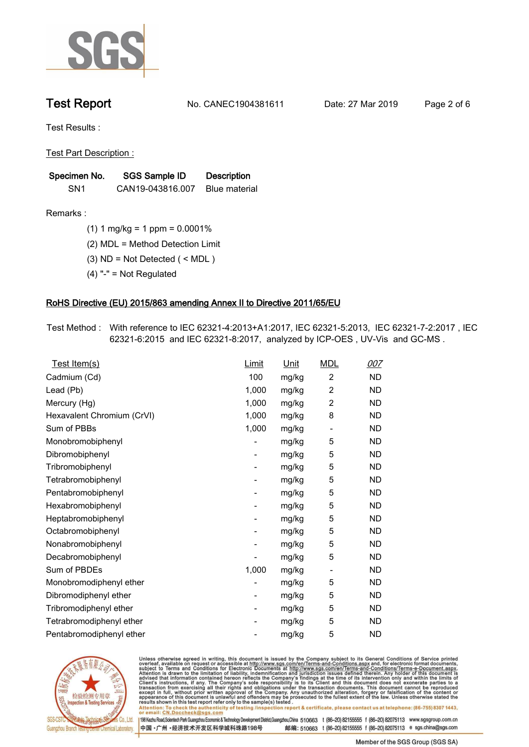

**Test Report. No. CANEC1904381611 Date: 27 Mar 2019. Page 2 of 6.**

**Test Results :.**

**Test Part Description :.**

| Specimen No.    | SGS Sample ID    | <b>Description</b>   |
|-----------------|------------------|----------------------|
| SN <sub>1</sub> | CAN19-043816.007 | <b>Blue material</b> |

**Remarks :.(1) 1 mg/kg = 1 ppm = 0.0001%.**

**(2) MDL = Method Detection Limit.**

**(3) ND = Not Detected ( < MDL ).**

**(4) "-" = Not Regulated.**

### **RoHS Directive (EU) 2015/863 amending Annex II to Directive 2011/65/EU.**

**Test Method :. With reference to IEC 62321-4:2013+A1:2017, IEC 62321-5:2013, IEC 62321-7-2:2017 , IEC 62321-6:2015 and IEC 62321-8:2017, analyzed by ICP-OES , UV-Vis and GC-MS ..**

| Test Item(s)               | <u>Limit</u>             | <u>Unit</u> | <b>MDL</b>               | <u>007</u> |
|----------------------------|--------------------------|-------------|--------------------------|------------|
| Cadmium (Cd)               | 100                      | mg/kg       | $\overline{2}$           | <b>ND</b>  |
| Lead (Pb)                  | 1,000                    | mg/kg       | $\overline{c}$           | <b>ND</b>  |
| Mercury (Hg)               | 1,000                    | mg/kg       | 2                        | <b>ND</b>  |
| Hexavalent Chromium (CrVI) | 1,000                    | mg/kg       | 8                        | <b>ND</b>  |
| Sum of PBBs                | 1,000                    | mg/kg       | $\overline{\phantom{a}}$ | <b>ND</b>  |
| Monobromobiphenyl          |                          | mg/kg       | 5                        | <b>ND</b>  |
| Dibromobiphenyl            | $\overline{\phantom{a}}$ | mg/kg       | 5                        | <b>ND</b>  |
| Tribromobiphenyl           | ۰                        | mg/kg       | 5                        | <b>ND</b>  |
| Tetrabromobiphenyl         |                          | mg/kg       | 5                        | <b>ND</b>  |
| Pentabromobiphenyl         | $\overline{\phantom{a}}$ | mg/kg       | 5                        | <b>ND</b>  |
| Hexabromobiphenyl          |                          | mg/kg       | 5                        | ND         |
| Heptabromobiphenyl         | $\overline{\phantom{a}}$ | mg/kg       | 5                        | <b>ND</b>  |
| Octabromobiphenyl          | $\overline{\phantom{a}}$ | mg/kg       | 5                        | <b>ND</b>  |
| Nonabromobiphenyl          |                          | mg/kg       | 5                        | <b>ND</b>  |
| Decabromobiphenyl          |                          | mg/kg       | 5                        | <b>ND</b>  |
| Sum of PBDEs               | 1,000                    | mg/kg       | $\overline{\phantom{a}}$ | <b>ND</b>  |
| Monobromodiphenyl ether    |                          | mg/kg       | 5                        | <b>ND</b>  |
| Dibromodiphenyl ether      | ۰                        | mg/kg       | 5                        | <b>ND</b>  |
| Tribromodiphenyl ether     | -                        | mg/kg       | 5                        | <b>ND</b>  |
| Tetrabromodiphenyl ether   |                          | mg/kg       | 5                        | <b>ND</b>  |
| Pentabromodiphenyl ether   |                          | mg/kg       | 5                        | <b>ND</b>  |
|                            |                          |             |                          |            |



Unless otherwise agreed in writing, this document is issued by the Company subject to its General Conditions of Service printed<br>overleaf, available on request or accessible at http://www.sgs.com/en/Terms-and-Conditions.asp Attention: To check the authenticity of testing /inspection report & certificate, please contact us at telephone: (86-755) 8307 1443,<br>Attention: To check the authenticity of testing /inspection report & certificate, please

198 Kezhu Road,Scientech Park Guangzhou Economic & Technology Development District,Guangzhou,China 510663 t (86-20) 82155555 f (86-20) 82075113 www.sgsgroup.com.cn 邮编: 510663 t (86-20) 82155555 f (86-20) 82075113 e sgs.china@sgs.com 中国·广州·经济技术开发区科学城科珠路198号

Member of the SGS Group (SGS SA)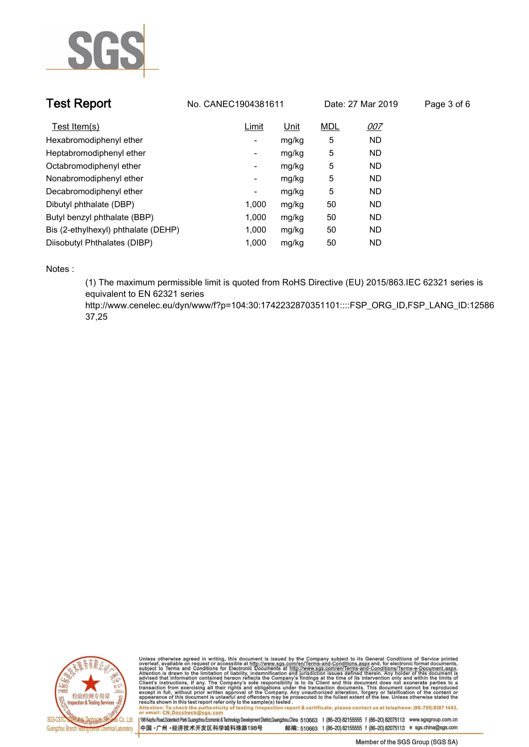

| <b>Test Report</b>                  | No. CANEC1904381611 |             | Date: 27 Mar 2019 |            | Page 3 of 6 |
|-------------------------------------|---------------------|-------------|-------------------|------------|-------------|
| Test Item(s)                        | Limit               | <u>Unit</u> | <b>MDL</b>        | <u>007</u> |             |
| Hexabromodiphenyl ether             | -                   | mg/kg       | 5                 | <b>ND</b>  |             |
| Heptabromodiphenyl ether            | ٠                   | mg/kg       | 5                 | <b>ND</b>  |             |
| Octabromodiphenyl ether             | Ξ.                  | mg/kg       | 5                 | <b>ND</b>  |             |
| Nonabromodiphenyl ether             | -                   | mg/kg       | 5                 | <b>ND</b>  |             |
| Decabromodiphenyl ether             | -                   | mg/kg       | 5                 | <b>ND</b>  |             |
| Dibutyl phthalate (DBP)             | 1.000               | mg/kg       | 50                | <b>ND</b>  |             |
| Butyl benzyl phthalate (BBP)        | 1.000               | mg/kg       | 50                | <b>ND</b>  |             |
| Bis (2-ethylhexyl) phthalate (DEHP) | 1,000               | mg/kg       | 50                | <b>ND</b>  |             |
| Diisobutyl Phthalates (DIBP)        | 1.000               | mg/kg       | 50                | <b>ND</b>  |             |

**Notes :.**

**(1) The maximum permissible limit is quoted from RoHS Directive (EU) 2015/863.IEC 62321 series is equivalent to EN 62321 series** 

**http://www.cenelec.eu/dyn/www/f?p=104:30:1742232870351101::::FSP\_ORG\_ID,FSP\_LANG\_ID:12586 37,25.**



Unless otherwise agreed in writing, this document is issued by the Company subject to its General Conditions of Service printed<br>overleaf, available on request or accessible at http://www.sgs.com/en/Terms-and-Conditions.asp results shown in this test report refer only to the sample(s) tested .<br>Attention: To check the authenticity of testing /inspection report & certificate, please contact us at telephone: (86-755) 8307 1443,<br>or email: <u>CN.Doc</u>

198 Kezhu Road,Scientech Park Guangzhou Economic & Technology Development District,Guangzhou,China 510663 t (86-20) 82155555 f (86-20) 82075113 www.sgsgroup.com.cn 中国·广州·经济技术开发区科学城科珠路198号 邮编: 510663 t (86-20) 82155555 f (86-20) 82075113 e sgs.china@sgs.com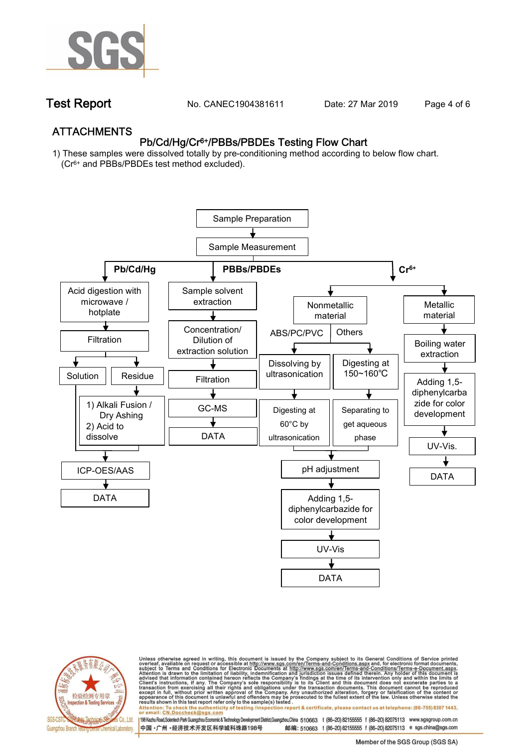

**Test Report. No. CANEC1904381611** Date: 27 Mar 2019 Page 4 of 6

## **ATTACHMENTS Pb/Cd/Hg/Cr6+/PBBs/PBDEs Testing Flow Chart**

**1) These samples were dissolved totally by pre-conditioning method according to below flow chart. (Cr6+ and PBBs/PBDEs test method excluded).**





Unless otherwise agreed in writing, this document is issued by the Company subject to its General Conditions of Service printed<br>overleaf, available on request or accessible at http://www.sgs.com/en/Terms-and-Conditions.asp résults shown in this test report refer only to the sample(s) tésted .<br>Attention: To check the authenticity of testing /inspection report & certificate, please contact us at telephone: (86-755) 8307 1443,<br>or email: <u>CN.Doc</u>

198 Kezhu Road,Scientech Park Guangzhou Economic & Technology Development District,Guangzhou,China 510663 t (86-20) 82155555 f (86-20) 82075113 www.sgsgroup.com.cn 邮编: 510663 t (86-20) 82155555 f (86-20) 82075113 e sgs.china@sgs.com 中国·广州·经济技术开发区科学城科珠路198号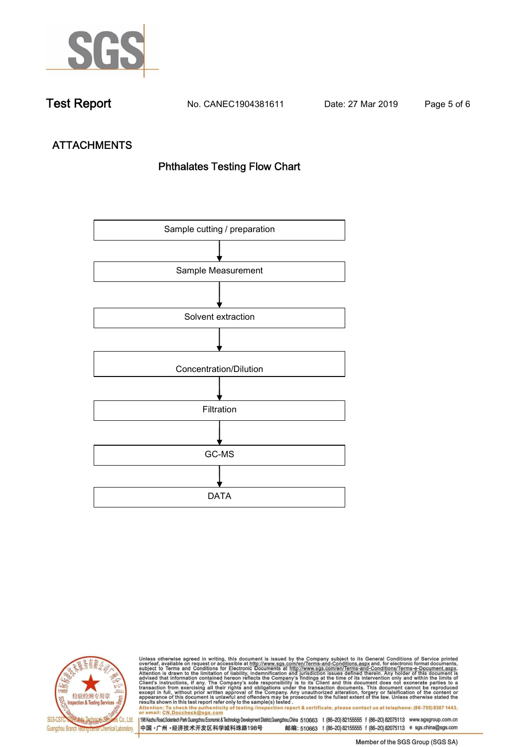

**Test Report. No. CANEC1904381611 Date: 27 Mar 2019. Page 5 of 6.**

# **ATTACHMENTS Phthalates Testing Flow Chart**





Unless otherwise agreed in writing, this document is issued by the Company subject to its General Conditions of Service printed<br>overleaf, available on request or accessible at http://www.sgs.com/en/Terms-and-Conditions.asp results shown in this test report refer only to the sample(s) tested .<br>Attention: To check the authenticity of testing /inspection report & certificate, please contact us at telephone: (86-755) 8307 1443,<br>or email: <u>CN.Doc</u>

198 Kezhu Road,Scientech Park Guangzhou Economic & Technology Development District,Guangzhou,China 510663 t (86-20) 82155555 f (86-20) 82075113 www.sgsgroup.com.cn 中国·广州·经济技术开发区科学城科珠路198号 邮编: 510663 t (86-20) 82155555 f (86-20) 82075113 e sgs.china@sgs.com